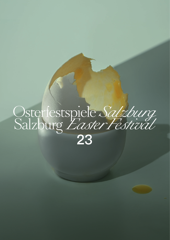# Osterfestspiele Salzburg<br>Salzburg Easter Festival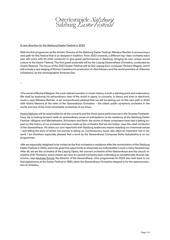# Osterfestspiele Salzburg<br>Salzburg *Easter Festival*

# A new direction for the Salzburg Easter Festival in 2023

With his first programme as the Artistic Director of the Salzburg Easter Festival, Nikolaus Bachler is announcing a new path for this festival that is so steeped in tradition. From 2023 onwards, a different top-class orchestra each year will come with its chief conductor to give guest performances in Salzburg, bringing its own unique sound culture to the Easter Festival. The first guest ensemble will be the Leipzig Gewandhaus Orchestra, conducted by Andris Nelsons. The focus of the 2023 Easter Festival will be the Leipzig-born composer Richard Wagner, and it will include a new staging of Romeo Castellucci's production of »Tannhäuser« and the world premiere of »Träume« [»Dreams«], by the choreographer Emanuel Gat.

–

»The world of Richard Wagner, the most radical innovator in music history, is both a starting point and a laboratory. We shall be exploring his extraordinary view of the world in opera, in concerts, in dance and even in electronic music«, says Nikolaus Bachler. »I am extraordinarily pleased that we will be setting out on this new path in 2023 with Andris Nelsons at the helm of the Gewandhaus Orchestra – the oldest public symphony orchestra in the world, and one of the most remarkable orchestras of our time«.

Andris Nelsons will be responsible for all the concerts and the three opera performances in the Grosses Festspielhaus. He is looking forward »with an extraordinary sense of anticipation« to his residency at the Salzburg Easter Festival: »Wagner and Mendelssohn, Schumann and Bach: the works of these composers have had a lasting impact on the history of our orchestra and have made us the orchestra that we are today«, says the chief conductor of the Gewandhaus. »To share our core repertoire with Salzburg audiences means revealing our innermost selves – and telling the story of where our journey is taking us. Contemporary music also plays an important role in our work. I am therefore especially pleased that a work by the Gewandhaus Composer Sofia Gubaidulina is on our programme«.

»We are especially delighted to be invited as the first orchestra in residence after the reorientation of the Salzburg Easter Festival in 2023, and to be given the opportunity to showcase our individuality in such a many-faceted way. After all, we are the orchestra of the Leipzig Opera, the concert orchestra of the Gewandhaus and the church orchestra of St Thomas's, which means we have for several centuries been cultivating an exceptionally diverse repertoire«, says Andreas Schulz, the Director of the Gewandhaus. »Our programmes for 2023 also hark back to our first appearance at the Easter Festival in 1990, when the Gewandhaus Orchestra stepped in for the opera production of »Fidelio«.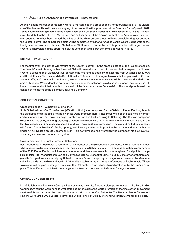# TANNHÄUSER und der Sängerkrieg auf Wartburg – A new staging

Andris Nelsons will conduct Richard Wagner's masterpiece in a production by Romeo Castellucci, a true visionary of the theatre. This will be a new staging of the production that premiered at the Bavarian State Opera in 2017. Jonas Kaufmann last appeared at the Easter Festival in »Cavalleria rusticana« / »Pagliacci« in 2015, and will here make his debut in the title role. Marlis Petersen as Elisabeth will be singing her first-ever Wagner role. This German soprano, who has been named the »Singer of the Year« several times, will also be celebrating her debut at the Easter Festival. The quintet of soloists will be completed by Elīna Garança as Venus, Georg Zeppenfeld as the Landgrave Hermann and Christian Gerhaher as Wolfram von Eschenbach. This production will largely follow Wagner's final version of the opera, namely the version that was first performed in Vienna in 1875.

#### DREAMS – World premiere

For the first-ever time, dance will feature at the Easter Festival – in the archaic setting of the Felsenreitschule. The French/Israeli choreographer Emanuel Gat will present a work for 14 dancers that is inspired by Richard Wagner's Wesendonck Lieder. Gat will combine the five famous poems with excerpts from Wagner's essay »Art and Revolution« [»Die Kunst und die Revolution«]. » ›Träume‹ is a choreographic work that engages with different facets of Wagner's oeuvre. In the first act, excerpts from his revolutionary essay will be juxtaposed with the poems by Mathilde Wesendonck in order to create a kind of textual score in a dialogue between the sexes; it is followed by a second act that unfolds to the music of the five songs«, says Emanuel Gat. This world premiere will be danced by members of the Emanuel Gat Dance Company.

# ORCHESTRAL CONCERTS

# Orchestral concert I: Gubaidulina / Bruckner

Sofia Gubaidulina's »Der Zorn Gottes« [»Wrath of God«] was composed for the Salzburg Easter Festival, though the pandemic meant it could not be given its world premiere here. It has meanwhile been acclaimed by critics and audiences alike, and now this mighty orchestral work is finally coming to Salzburg. The Russian composer Gubaidulina has enjoyed a long-standing collaborative relationship with the Gewandhaus Orchestra, and in the last two seasons and next season she is the official »Gewandhaus Composer«. The second half of this concert will feature Anton Bruckner's 7th Symphony, which was given its world premiere by the Gewandhaus Orchestra under Arthur Nikisch on 30 December 1884. This performance finally brought the composer his first-ever resounding success and national recognition.

#### Orchestral concert II: Bach / Escaich / Schumann

Felix Mendelssohn Bartholdy, a former chief conductor of the Gewandhaus Orchestra, is regarded as the man who ushered in a lasting renaissance of the music of Johann Sebastian Bach. This second symphonic programme of the 2023 Easter Festival will therefore revolve around these two men who have long been focal points in Leipzig's musical life. Mendelssohn Bartholdy arranged Bach's Orchestral Suite No. 3 in D major for orchestra and gave its first performance in Leipzig. Robert Schumann's 2nd Symphony in C major was premiered by Mendelssohn Bartholdy at the Gewandhaus in 1846, and is notable for its numerous references to Bach's music. These two works will be placed alongside music of the 21st century: a work for cello and orchestra by the French composer Thierry Escaich, which will here be given its Austrian premiere, with Gautier Capuçon as soloist.

#### CHORAL CONCERT: Brahms

In 1869, Johannes Brahms's »German Requiem« was given its first complete performance in the Leipzig Gewandhaus, when the Gewandhaus Orchestra and Chorus gave the world premiere of the final, seven-movement version of this work under the direction of their chief conductor Carl Reinecke. The Bavarian Radio Chorus will sing the work at the 2023 Easter Festival, and will be joined by Julia Kleiter and Christian Gerhaher as soloists.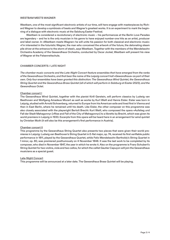#### WESTBAM MEETS WAGNER

Westbam, one of the most significant electronic artists of our time, will here engage with masterpieces by Richard Wagner to develop a symbiosis of beats and Wagner's greatest works. It is an experiment to mark the beginning of a dialogue with electronic music at the Salzburg Easter Festival.

Westbam is considered a revolutionary of electronic music – his performances at the Berlin Love Parades are legendary – and he is the only musician in his genre to have enjoyed number-one hits as an artist, producer and label owner. In »Westbam meets Wagner« he will unite his passion for both classical and electronic music: »I'm interested in the futuristic Wagner, the man who conceived the artwork of the future, the detonating steam pile driver at the entrance to the storm of steel«, says Westbam. Together with the members of the Mendelssohn Orchestra Academy of the Gewandhaus Orchestra, conducted by Oscar Jockel, Westbam will present his view of Wagner at the Felsenreitschule.

# CHAMBER CONCERTS / LATE NIGHT

*The chamber music concerts and the Late-Night Concert feature ensembles that have emerged from the ranks of the Gewandhaus Orchestra, and that bear the name of the Leipzig concert hall »Gewandhaus« as part of their own. Only four ensembles have been granted this distinction: The Gewandhaus Wind Quintet, the Gewandhaus String Quartet and the Gewandhaus Brass Quintet (all of which will perform in Salzburg at Easter 2023), and the Gewandhaus Octet.* 

#### Chamber concert I

The Gewandhaus Wind Quintet, together with the pianist Kirill Gerstein, will perform classics by Ludwig van Beethoven and Wolfgang Amadeus Mozart as well as works by Kurt Weill and Hanns Eisler. Eisler was born in Leipzig, studied with Arnold Schoenberg, returned to Europe from his American exile and lived first in Vienna and then in East Berlin, where he remained until his death. Like Eisler, the other composer on this programme was also closely associated with the playwright Bertolt Brecht: Kurt Weill, who composed the opera »Aufstieg und Fall der Stadt Mahagonny« [»Rise and Fall of the City of Mahagonny«] to a libretto by Brecht, which was given its world premiere in Leipzig in 1930. Excerpts from this opera will be heard here in an arrangement for wind quintet by Christian Muth (it will also be this arrangement's first performance in Austria).

#### Chamber concert II

This programme by the Gewandhaus String Quartet also presents two pieces that were given their world premieres in Leipzig: Ludwig van Beethoven's String Quartet in E-flat major, op. 74, received its first verifiable public performance in 1811, played by the Gewandhaus Quartet, while Felix Mendelssohn Bartholdy's String Quartet in f minor, op. 80, was premiered posthumously on 4 November 1848. It was the last work to be completed by its composer, who died in November 1847, the year in which he wrote it. Also on the programme is Franz Schubert's String Quintet for two violins, viola and two cellos, for which the cellist Gautier Capuçon will join the Gewandhaus musicians as a special guest.

#### Late-Night Concert

This programme will be announced at a later date. The Gewandhaus Brass Quintet will be playing.